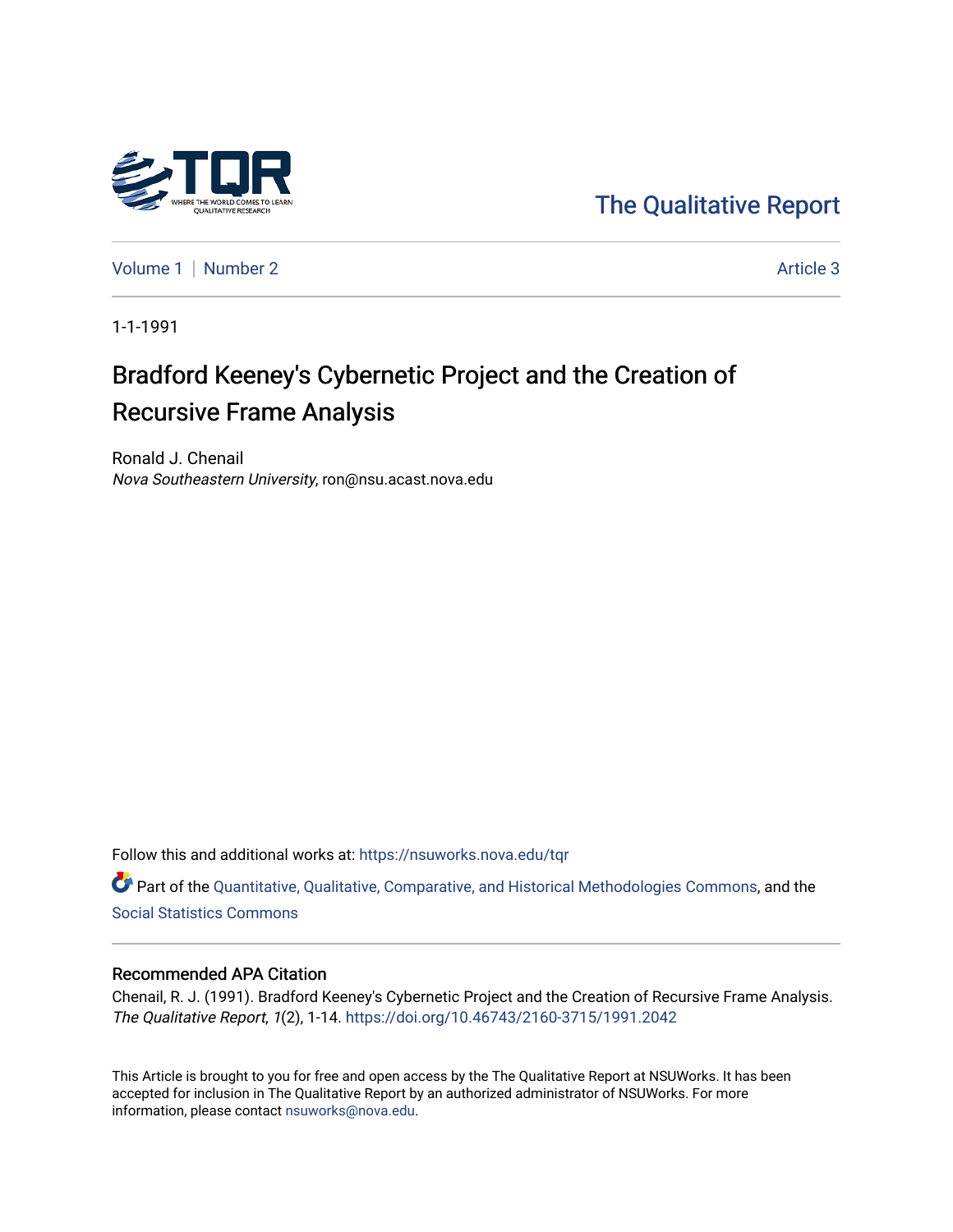

[The Qualitative Report](https://nsuworks.nova.edu/tqr) 

[Volume 1](https://nsuworks.nova.edu/tqr/vol1) | [Number 2](https://nsuworks.nova.edu/tqr/vol1/iss2) Article 3

1-1-1991

# Bradford Keeney's Cybernetic Project and the Creation of Recursive Frame Analysis

Ronald J. Chenail Nova Southeastern University, ron@nsu.acast.nova.edu

Follow this and additional works at: [https://nsuworks.nova.edu/tqr](https://nsuworks.nova.edu/tqr?utm_source=nsuworks.nova.edu%2Ftqr%2Fvol1%2Fiss2%2F3&utm_medium=PDF&utm_campaign=PDFCoverPages) 

Part of the [Quantitative, Qualitative, Comparative, and Historical Methodologies Commons,](http://network.bepress.com/hgg/discipline/423?utm_source=nsuworks.nova.edu%2Ftqr%2Fvol1%2Fiss2%2F3&utm_medium=PDF&utm_campaign=PDFCoverPages) and the [Social Statistics Commons](http://network.bepress.com/hgg/discipline/1275?utm_source=nsuworks.nova.edu%2Ftqr%2Fvol1%2Fiss2%2F3&utm_medium=PDF&utm_campaign=PDFCoverPages) 

#### Recommended APA Citation

Chenail, R. J. (1991). Bradford Keeney's Cybernetic Project and the Creation of Recursive Frame Analysis. The Qualitative Report, 1(2), 1-14.<https://doi.org/10.46743/2160-3715/1991.2042>

This Article is brought to you for free and open access by the The Qualitative Report at NSUWorks. It has been accepted for inclusion in The Qualitative Report by an authorized administrator of NSUWorks. For more information, please contact [nsuworks@nova.edu.](mailto:nsuworks@nova.edu)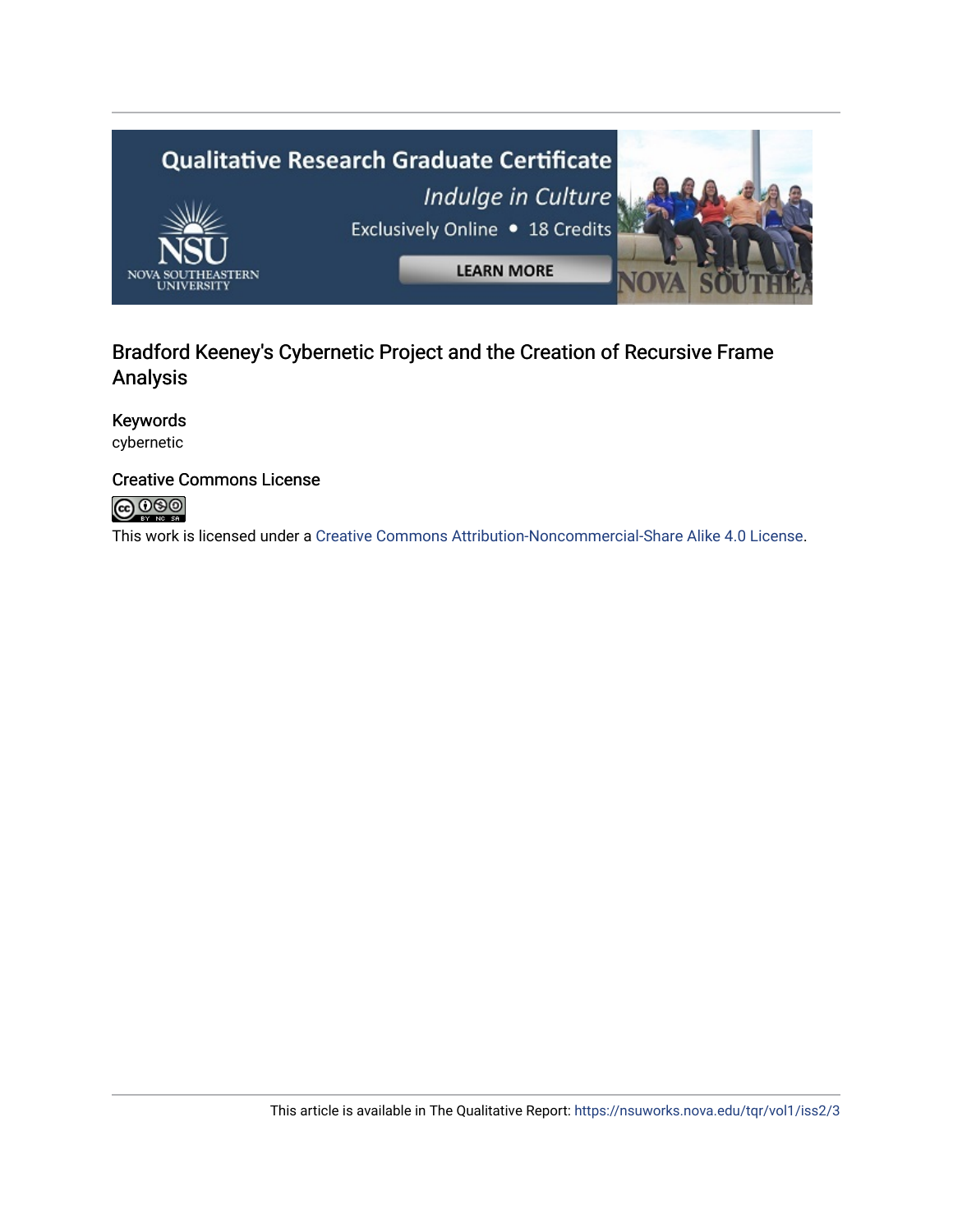

# Bradford Keeney's Cybernetic Project and the Creation of Recursive Frame Analysis

# Keywords

cybernetic

# Creative Commons License



This work is licensed under a [Creative Commons Attribution-Noncommercial-Share Alike 4.0 License](https://creativecommons.org/licenses/by-nc-sa/4.0/).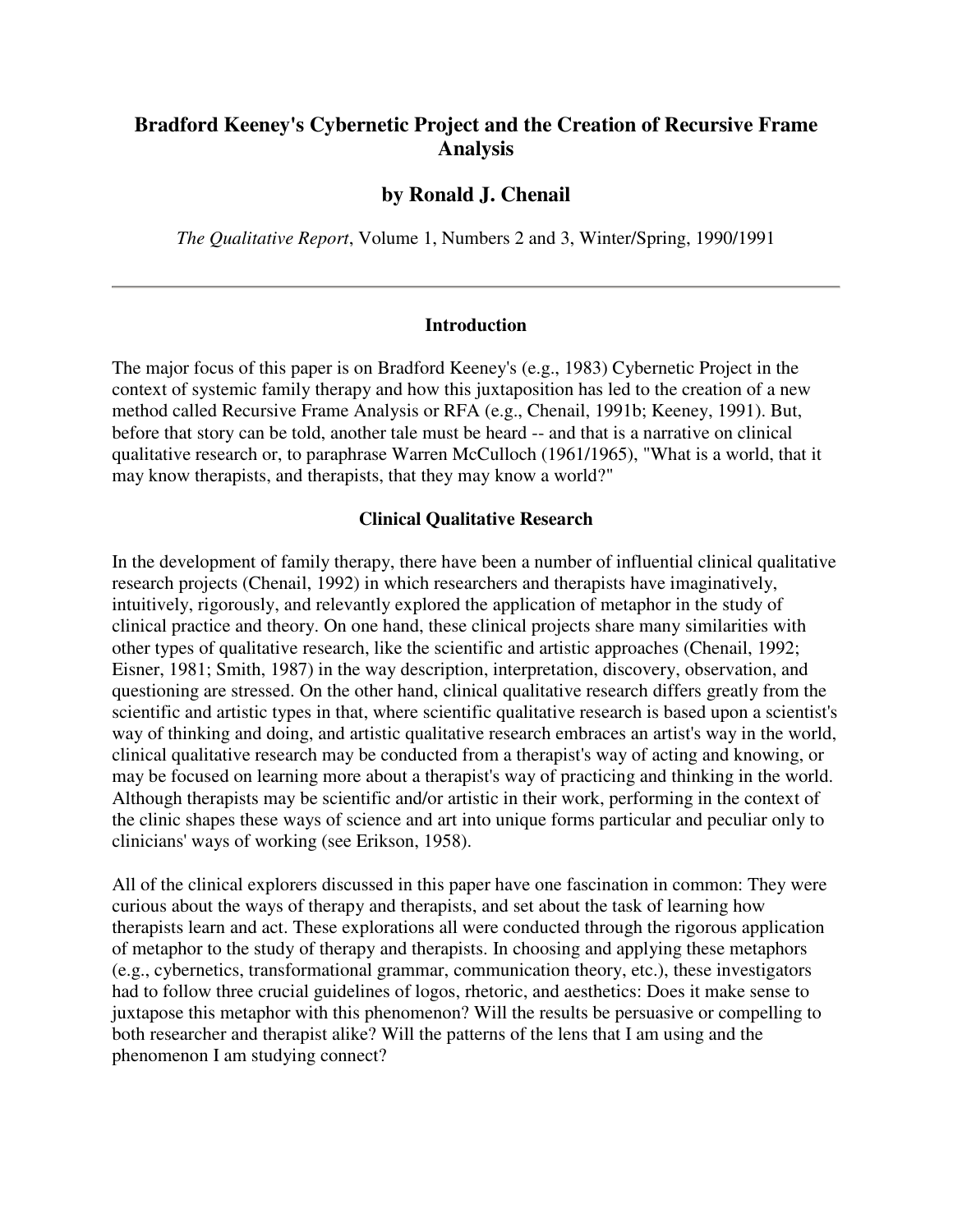# **Bradford Keeney's Cybernetic Project and the Creation of Recursive Frame Analysis**

# **by Ronald J. Chenail**

*The Qualitative Report*, Volume 1, Numbers 2 and 3, Winter/Spring, 1990/1991

#### **Introduction**

The major focus of this paper is on Bradford Keeney's (e.g., 1983) Cybernetic Project in the context of systemic family therapy and how this juxtaposition has led to the creation of a new method called Recursive Frame Analysis or RFA (e.g., Chenail, 1991b; Keeney, 1991). But, before that story can be told, another tale must be heard -- and that is a narrative on clinical qualitative research or, to paraphrase Warren McCulloch (1961/1965), "What is a world, that it may know therapists, and therapists, that they may know a world?"

#### **Clinical Qualitative Research**

In the development of family therapy, there have been a number of influential clinical qualitative research projects (Chenail, 1992) in which researchers and therapists have imaginatively, intuitively, rigorously, and relevantly explored the application of metaphor in the study of clinical practice and theory. On one hand, these clinical projects share many similarities with other types of qualitative research, like the scientific and artistic approaches (Chenail, 1992; Eisner, 1981; Smith, 1987) in the way description, interpretation, discovery, observation, and questioning are stressed. On the other hand, clinical qualitative research differs greatly from the scientific and artistic types in that, where scientific qualitative research is based upon a scientist's way of thinking and doing, and artistic qualitative research embraces an artist's way in the world, clinical qualitative research may be conducted from a therapist's way of acting and knowing, or may be focused on learning more about a therapist's way of practicing and thinking in the world. Although therapists may be scientific and/or artistic in their work, performing in the context of the clinic shapes these ways of science and art into unique forms particular and peculiar only to clinicians' ways of working (see Erikson, 1958).

All of the clinical explorers discussed in this paper have one fascination in common: They were curious about the ways of therapy and therapists, and set about the task of learning how therapists learn and act. These explorations all were conducted through the rigorous application of metaphor to the study of therapy and therapists. In choosing and applying these metaphors (e.g., cybernetics, transformational grammar, communication theory, etc.), these investigators had to follow three crucial guidelines of logos, rhetoric, and aesthetics: Does it make sense to juxtapose this metaphor with this phenomenon? Will the results be persuasive or compelling to both researcher and therapist alike? Will the patterns of the lens that I am using and the phenomenon I am studying connect?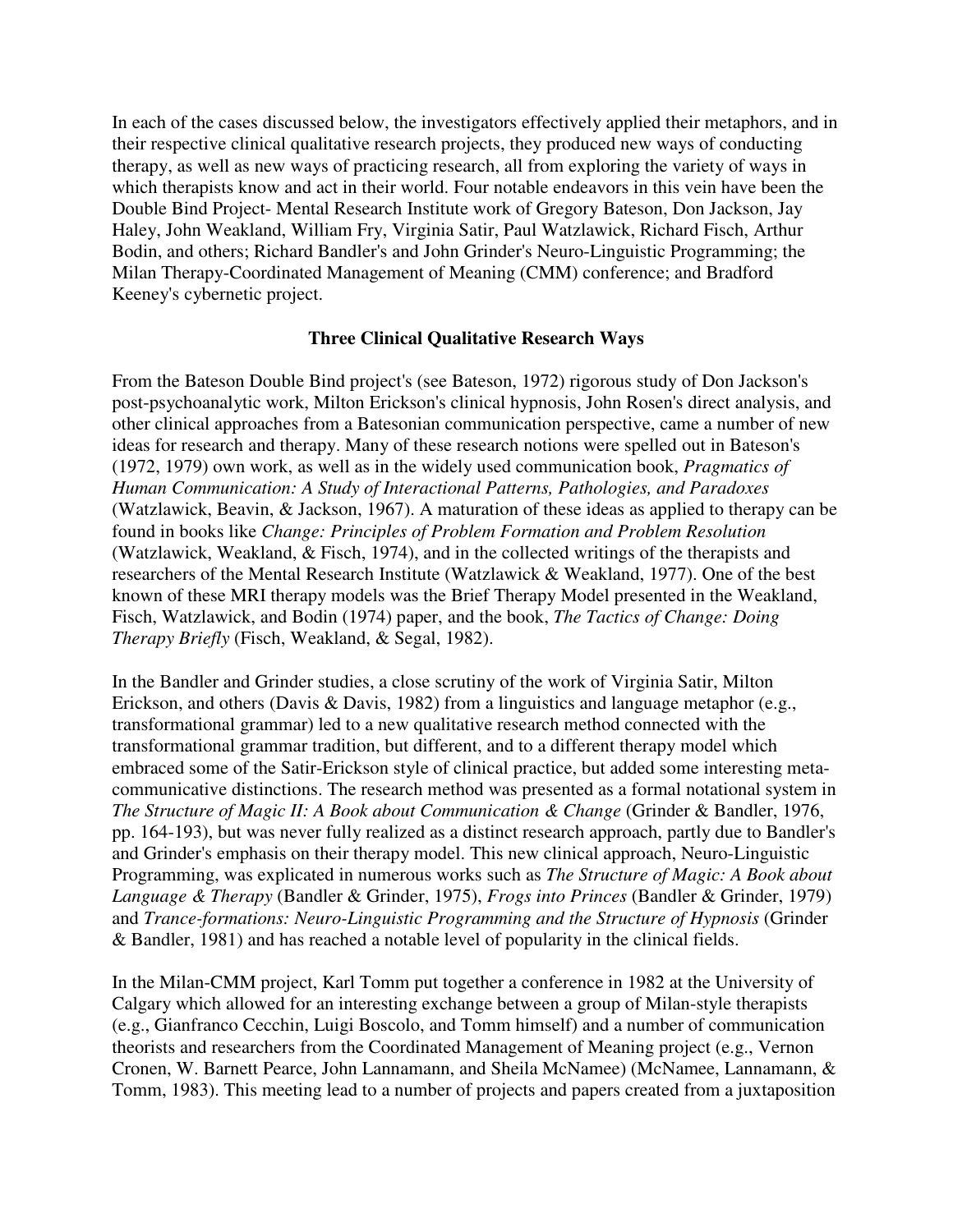In each of the cases discussed below, the investigators effectively applied their metaphors, and in their respective clinical qualitative research projects, they produced new ways of conducting therapy, as well as new ways of practicing research, all from exploring the variety of ways in which therapists know and act in their world. Four notable endeavors in this vein have been the Double Bind Project- Mental Research Institute work of Gregory Bateson, Don Jackson, Jay Haley, John Weakland, William Fry, Virginia Satir, Paul Watzlawick, Richard Fisch, Arthur Bodin, and others; Richard Bandler's and John Grinder's Neuro-Linguistic Programming; the Milan Therapy-Coordinated Management of Meaning (CMM) conference; and Bradford Keeney's cybernetic project.

# **Three Clinical Qualitative Research Ways**

From the Bateson Double Bind project's (see Bateson, 1972) rigorous study of Don Jackson's post-psychoanalytic work, Milton Erickson's clinical hypnosis, John Rosen's direct analysis, and other clinical approaches from a Batesonian communication perspective, came a number of new ideas for research and therapy. Many of these research notions were spelled out in Bateson's (1972, 1979) own work, as well as in the widely used communication book, *Pragmatics of Human Communication: A Study of Interactional Patterns, Pathologies, and Paradoxes* (Watzlawick, Beavin, & Jackson, 1967). A maturation of these ideas as applied to therapy can be found in books like *Change: Principles of Problem Formation and Problem Resolution* (Watzlawick, Weakland, & Fisch, 1974), and in the collected writings of the therapists and researchers of the Mental Research Institute (Watzlawick & Weakland, 1977). One of the best known of these MRI therapy models was the Brief Therapy Model presented in the Weakland, Fisch, Watzlawick, and Bodin (1974) paper, and the book, *The Tactics of Change: Doing Therapy Briefly* (Fisch, Weakland, & Segal, 1982).

In the Bandler and Grinder studies, a close scrutiny of the work of Virginia Satir, Milton Erickson, and others (Davis & Davis, 1982) from a linguistics and language metaphor (e.g., transformational grammar) led to a new qualitative research method connected with the transformational grammar tradition, but different, and to a different therapy model which embraced some of the Satir-Erickson style of clinical practice, but added some interesting metacommunicative distinctions. The research method was presented as a formal notational system in *The Structure of Magic II: A Book about Communication & Change* (Grinder & Bandler, 1976, pp. 164-193), but was never fully realized as a distinct research approach, partly due to Bandler's and Grinder's emphasis on their therapy model. This new clinical approach, Neuro-Linguistic Programming, was explicated in numerous works such as *The Structure of Magic: A Book about Language & Therapy* (Bandler & Grinder, 1975), *Frogs into Princes* (Bandler & Grinder, 1979) and *Trance-formations: Neuro-Linguistic Programming and the Structure of Hypnosis* (Grinder & Bandler, 1981) and has reached a notable level of popularity in the clinical fields.

In the Milan-CMM project, Karl Tomm put together a conference in 1982 at the University of Calgary which allowed for an interesting exchange between a group of Milan-style therapists (e.g., Gianfranco Cecchin, Luigi Boscolo, and Tomm himself) and a number of communication theorists and researchers from the Coordinated Management of Meaning project (e.g., Vernon Cronen, W. Barnett Pearce, John Lannamann, and Sheila McNamee) (McNamee, Lannamann, & Tomm, 1983). This meeting lead to a number of projects and papers created from a juxtaposition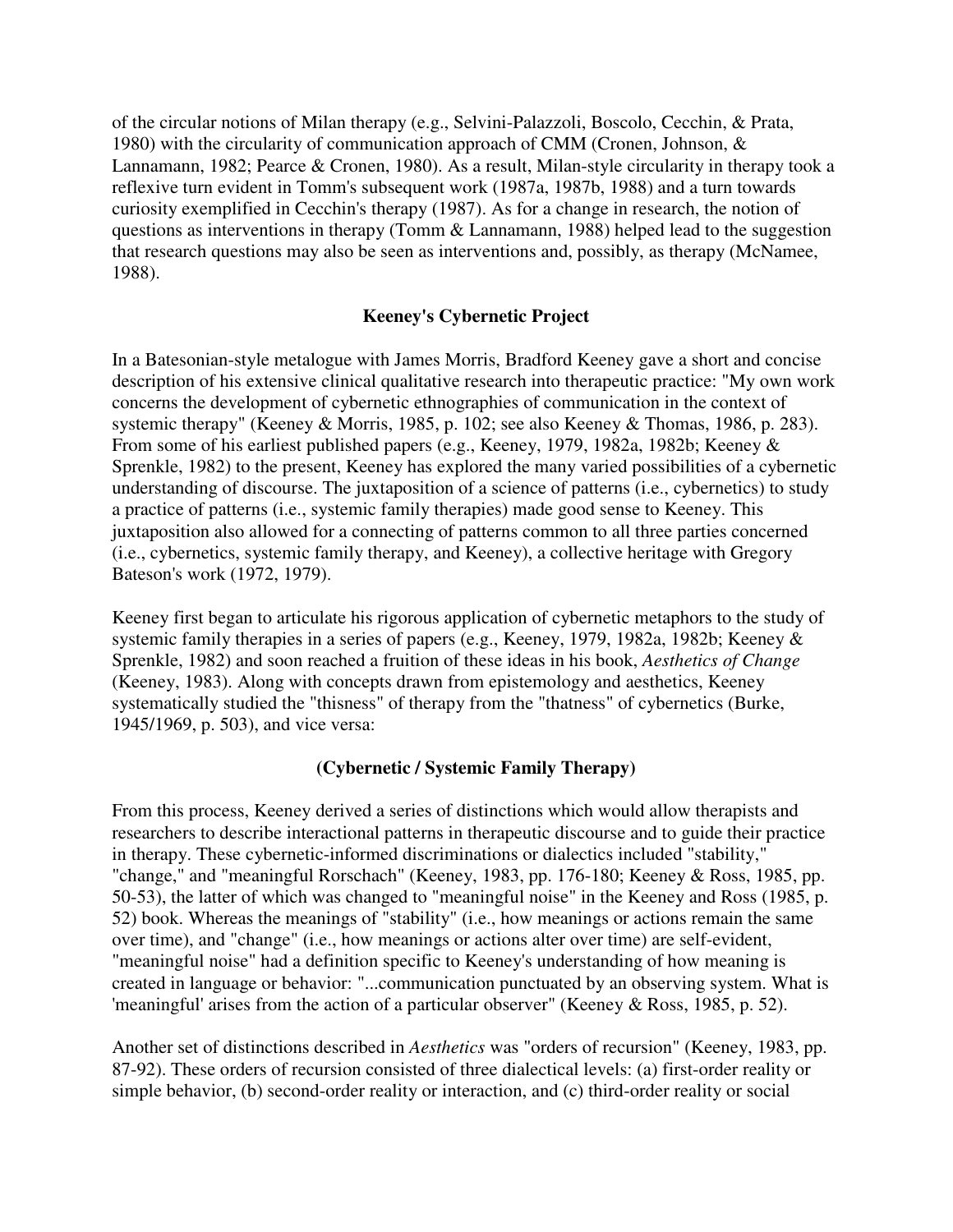of the circular notions of Milan therapy (e.g., Selvini-Palazzoli, Boscolo, Cecchin, & Prata, 1980) with the circularity of communication approach of CMM (Cronen, Johnson, & Lannamann, 1982; Pearce & Cronen, 1980). As a result, Milan-style circularity in therapy took a reflexive turn evident in Tomm's subsequent work (1987a, 1987b, 1988) and a turn towards curiosity exemplified in Cecchin's therapy (1987). As for a change in research, the notion of questions as interventions in therapy (Tomm & Lannamann, 1988) helped lead to the suggestion that research questions may also be seen as interventions and, possibly, as therapy (McNamee, 1988).

# **Keeney's Cybernetic Project**

In a Batesonian-style metalogue with James Morris, Bradford Keeney gave a short and concise description of his extensive clinical qualitative research into therapeutic practice: "My own work concerns the development of cybernetic ethnographies of communication in the context of systemic therapy" (Keeney & Morris, 1985, p. 102; see also Keeney & Thomas, 1986, p. 283). From some of his earliest published papers (e.g., Keeney, 1979, 1982a, 1982b; Keeney & Sprenkle, 1982) to the present, Keeney has explored the many varied possibilities of a cybernetic understanding of discourse. The juxtaposition of a science of patterns (i.e., cybernetics) to study a practice of patterns (i.e., systemic family therapies) made good sense to Keeney. This juxtaposition also allowed for a connecting of patterns common to all three parties concerned (i.e., cybernetics, systemic family therapy, and Keeney), a collective heritage with Gregory Bateson's work (1972, 1979).

Keeney first began to articulate his rigorous application of cybernetic metaphors to the study of systemic family therapies in a series of papers (e.g., Keeney, 1979, 1982a, 1982b; Keeney & Sprenkle, 1982) and soon reached a fruition of these ideas in his book, *Aesthetics of Change* (Keeney, 1983). Along with concepts drawn from epistemology and aesthetics, Keeney systematically studied the "thisness" of therapy from the "thatness" of cybernetics (Burke, 1945/1969, p. 503), and vice versa:

#### **(Cybernetic / Systemic Family Therapy)**

From this process, Keeney derived a series of distinctions which would allow therapists and researchers to describe interactional patterns in therapeutic discourse and to guide their practice in therapy. These cybernetic-informed discriminations or dialectics included "stability," "change," and "meaningful Rorschach" (Keeney, 1983, pp. 176-180; Keeney & Ross, 1985, pp. 50-53), the latter of which was changed to "meaningful noise" in the Keeney and Ross (1985, p. 52) book. Whereas the meanings of "stability" (i.e., how meanings or actions remain the same over time), and "change" (i.e., how meanings or actions alter over time) are self-evident, "meaningful noise" had a definition specific to Keeney's understanding of how meaning is created in language or behavior: "...communication punctuated by an observing system. What is 'meaningful' arises from the action of a particular observer" (Keeney & Ross, 1985, p. 52).

Another set of distinctions described in *Aesthetics* was "orders of recursion" (Keeney, 1983, pp. 87-92). These orders of recursion consisted of three dialectical levels: (a) first-order reality or simple behavior, (b) second-order reality or interaction, and (c) third-order reality or social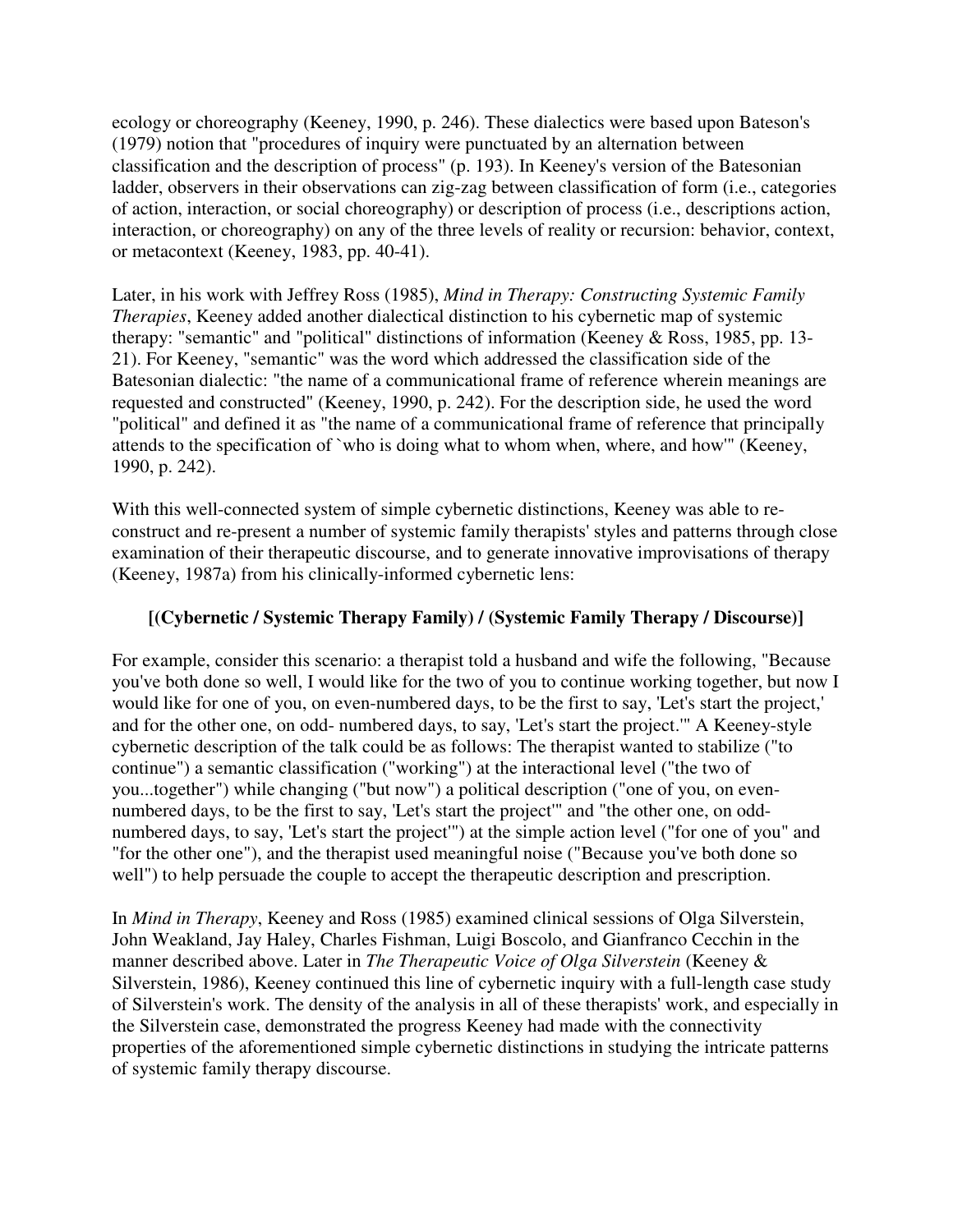ecology or choreography (Keeney, 1990, p. 246). These dialectics were based upon Bateson's (1979) notion that "procedures of inquiry were punctuated by an alternation between classification and the description of process" (p. 193). In Keeney's version of the Batesonian ladder, observers in their observations can zig-zag between classification of form (i.e., categories of action, interaction, or social choreography) or description of process (i.e., descriptions action, interaction, or choreography) on any of the three levels of reality or recursion: behavior, context, or metacontext (Keeney, 1983, pp. 40-41).

Later, in his work with Jeffrey Ross (1985), *Mind in Therapy: Constructing Systemic Family Therapies*, Keeney added another dialectical distinction to his cybernetic map of systemic therapy: "semantic" and "political" distinctions of information (Keeney & Ross, 1985, pp. 13- 21). For Keeney, "semantic" was the word which addressed the classification side of the Batesonian dialectic: "the name of a communicational frame of reference wherein meanings are requested and constructed" (Keeney, 1990, p. 242). For the description side, he used the word "political" and defined it as "the name of a communicational frame of reference that principally attends to the specification of `who is doing what to whom when, where, and how'" (Keeney, 1990, p. 242).

With this well-connected system of simple cybernetic distinctions, Keeney was able to reconstruct and re-present a number of systemic family therapists' styles and patterns through close examination of their therapeutic discourse, and to generate innovative improvisations of therapy (Keeney, 1987a) from his clinically-informed cybernetic lens:

# **[(Cybernetic / Systemic Therapy Family) / (Systemic Family Therapy / Discourse)]**

For example, consider this scenario: a therapist told a husband and wife the following, "Because you've both done so well, I would like for the two of you to continue working together, but now I would like for one of you, on even-numbered days, to be the first to say, 'Let's start the project,' and for the other one, on odd- numbered days, to say, 'Let's start the project.'" A Keeney-style cybernetic description of the talk could be as follows: The therapist wanted to stabilize ("to continue") a semantic classification ("working") at the interactional level ("the two of you...together") while changing ("but now") a political description ("one of you, on evennumbered days, to be the first to say, 'Let's start the project'" and "the other one, on oddnumbered days, to say, 'Let's start the project'") at the simple action level ("for one of you" and "for the other one"), and the therapist used meaningful noise ("Because you've both done so well") to help persuade the couple to accept the therapeutic description and prescription.

In *Mind in Therapy*, Keeney and Ross (1985) examined clinical sessions of Olga Silverstein, John Weakland, Jay Haley, Charles Fishman, Luigi Boscolo, and Gianfranco Cecchin in the manner described above. Later in *The Therapeutic Voice of Olga Silverstein* (Keeney & Silverstein, 1986), Keeney continued this line of cybernetic inquiry with a full-length case study of Silverstein's work. The density of the analysis in all of these therapists' work, and especially in the Silverstein case, demonstrated the progress Keeney had made with the connectivity properties of the aforementioned simple cybernetic distinctions in studying the intricate patterns of systemic family therapy discourse.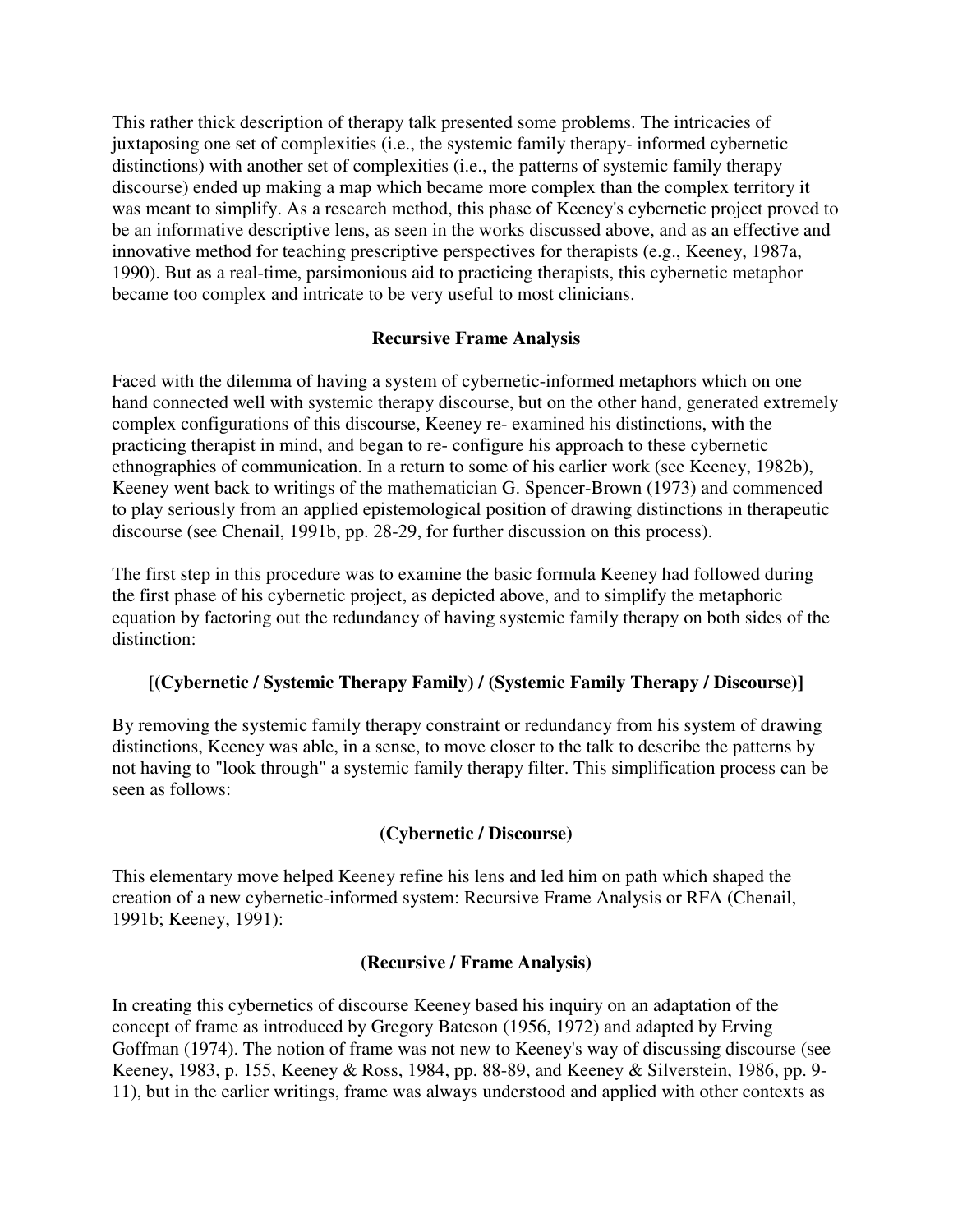This rather thick description of therapy talk presented some problems. The intricacies of juxtaposing one set of complexities (i.e., the systemic family therapy- informed cybernetic distinctions) with another set of complexities (i.e., the patterns of systemic family therapy discourse) ended up making a map which became more complex than the complex territory it was meant to simplify. As a research method, this phase of Keeney's cybernetic project proved to be an informative descriptive lens, as seen in the works discussed above, and as an effective and innovative method for teaching prescriptive perspectives for therapists (e.g., Keeney, 1987a, 1990). But as a real-time, parsimonious aid to practicing therapists, this cybernetic metaphor became too complex and intricate to be very useful to most clinicians.

# **Recursive Frame Analysis**

Faced with the dilemma of having a system of cybernetic-informed metaphors which on one hand connected well with systemic therapy discourse, but on the other hand, generated extremely complex configurations of this discourse, Keeney re- examined his distinctions, with the practicing therapist in mind, and began to re- configure his approach to these cybernetic ethnographies of communication. In a return to some of his earlier work (see Keeney, 1982b), Keeney went back to writings of the mathematician G. Spencer-Brown (1973) and commenced to play seriously from an applied epistemological position of drawing distinctions in therapeutic discourse (see Chenail, 1991b, pp. 28-29, for further discussion on this process).

The first step in this procedure was to examine the basic formula Keeney had followed during the first phase of his cybernetic project, as depicted above, and to simplify the metaphoric equation by factoring out the redundancy of having systemic family therapy on both sides of the distinction:

#### **[(Cybernetic / Systemic Therapy Family) / (Systemic Family Therapy / Discourse)]**

By removing the systemic family therapy constraint or redundancy from his system of drawing distinctions, Keeney was able, in a sense, to move closer to the talk to describe the patterns by not having to "look through" a systemic family therapy filter. This simplification process can be seen as follows:

# **(Cybernetic / Discourse)**

This elementary move helped Keeney refine his lens and led him on path which shaped the creation of a new cybernetic-informed system: Recursive Frame Analysis or RFA (Chenail, 1991b; Keeney, 1991):

#### **(Recursive / Frame Analysis)**

In creating this cybernetics of discourse Keeney based his inquiry on an adaptation of the concept of frame as introduced by Gregory Bateson (1956, 1972) and adapted by Erving Goffman (1974). The notion of frame was not new to Keeney's way of discussing discourse (see Keeney, 1983, p. 155, Keeney & Ross, 1984, pp. 88-89, and Keeney & Silverstein, 1986, pp. 9- 11), but in the earlier writings, frame was always understood and applied with other contexts as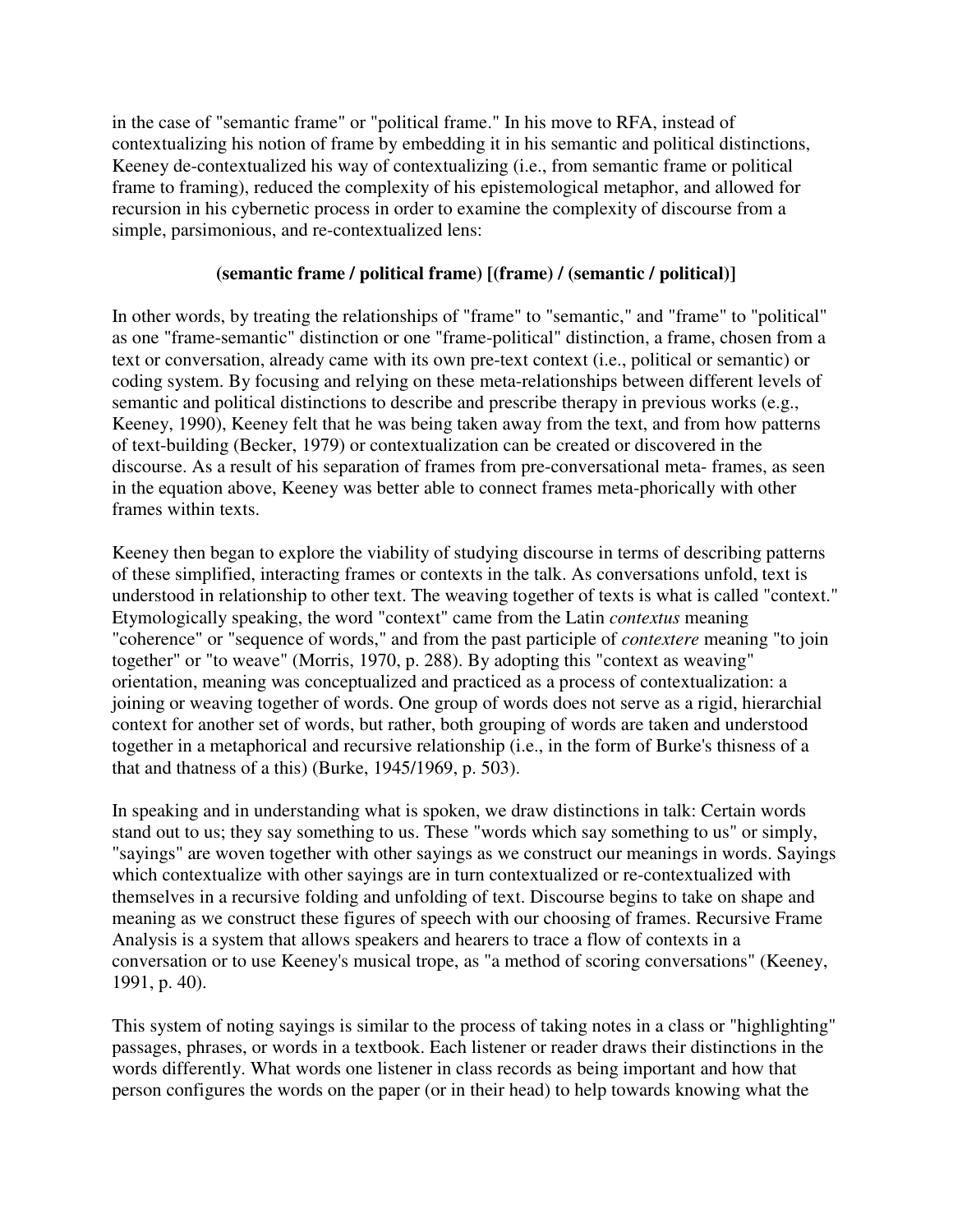in the case of "semantic frame" or "political frame." In his move to RFA, instead of contextualizing his notion of frame by embedding it in his semantic and political distinctions, Keeney de-contextualized his way of contextualizing (i.e., from semantic frame or political frame to framing), reduced the complexity of his epistemological metaphor, and allowed for recursion in his cybernetic process in order to examine the complexity of discourse from a simple, parsimonious, and re-contextualized lens:

# **(semantic frame / political frame) [(frame) / (semantic / political)]**

In other words, by treating the relationships of "frame" to "semantic," and "frame" to "political" as one "frame-semantic" distinction or one "frame-political" distinction, a frame, chosen from a text or conversation, already came with its own pre-text context (i.e., political or semantic) or coding system. By focusing and relying on these meta-relationships between different levels of semantic and political distinctions to describe and prescribe therapy in previous works (e.g., Keeney, 1990), Keeney felt that he was being taken away from the text, and from how patterns of text-building (Becker, 1979) or contextualization can be created or discovered in the discourse. As a result of his separation of frames from pre-conversational meta- frames, as seen in the equation above, Keeney was better able to connect frames meta-phorically with other frames within texts.

Keeney then began to explore the viability of studying discourse in terms of describing patterns of these simplified, interacting frames or contexts in the talk. As conversations unfold, text is understood in relationship to other text. The weaving together of texts is what is called "context." Etymologically speaking, the word "context" came from the Latin *contextus* meaning "coherence" or "sequence of words," and from the past participle of *contextere* meaning "to join together" or "to weave" (Morris, 1970, p. 288). By adopting this "context as weaving" orientation, meaning was conceptualized and practiced as a process of contextualization: a joining or weaving together of words. One group of words does not serve as a rigid, hierarchial context for another set of words, but rather, both grouping of words are taken and understood together in a metaphorical and recursive relationship (i.e., in the form of Burke's thisness of a that and thatness of a this) (Burke, 1945/1969, p. 503).

In speaking and in understanding what is spoken, we draw distinctions in talk: Certain words stand out to us; they say something to us. These "words which say something to us" or simply, "sayings" are woven together with other sayings as we construct our meanings in words. Sayings which contextualize with other sayings are in turn contextualized or re-contextualized with themselves in a recursive folding and unfolding of text. Discourse begins to take on shape and meaning as we construct these figures of speech with our choosing of frames. Recursive Frame Analysis is a system that allows speakers and hearers to trace a flow of contexts in a conversation or to use Keeney's musical trope, as "a method of scoring conversations" (Keeney, 1991, p. 40).

This system of noting sayings is similar to the process of taking notes in a class or "highlighting" passages, phrases, or words in a textbook. Each listener or reader draws their distinctions in the words differently. What words one listener in class records as being important and how that person configures the words on the paper (or in their head) to help towards knowing what the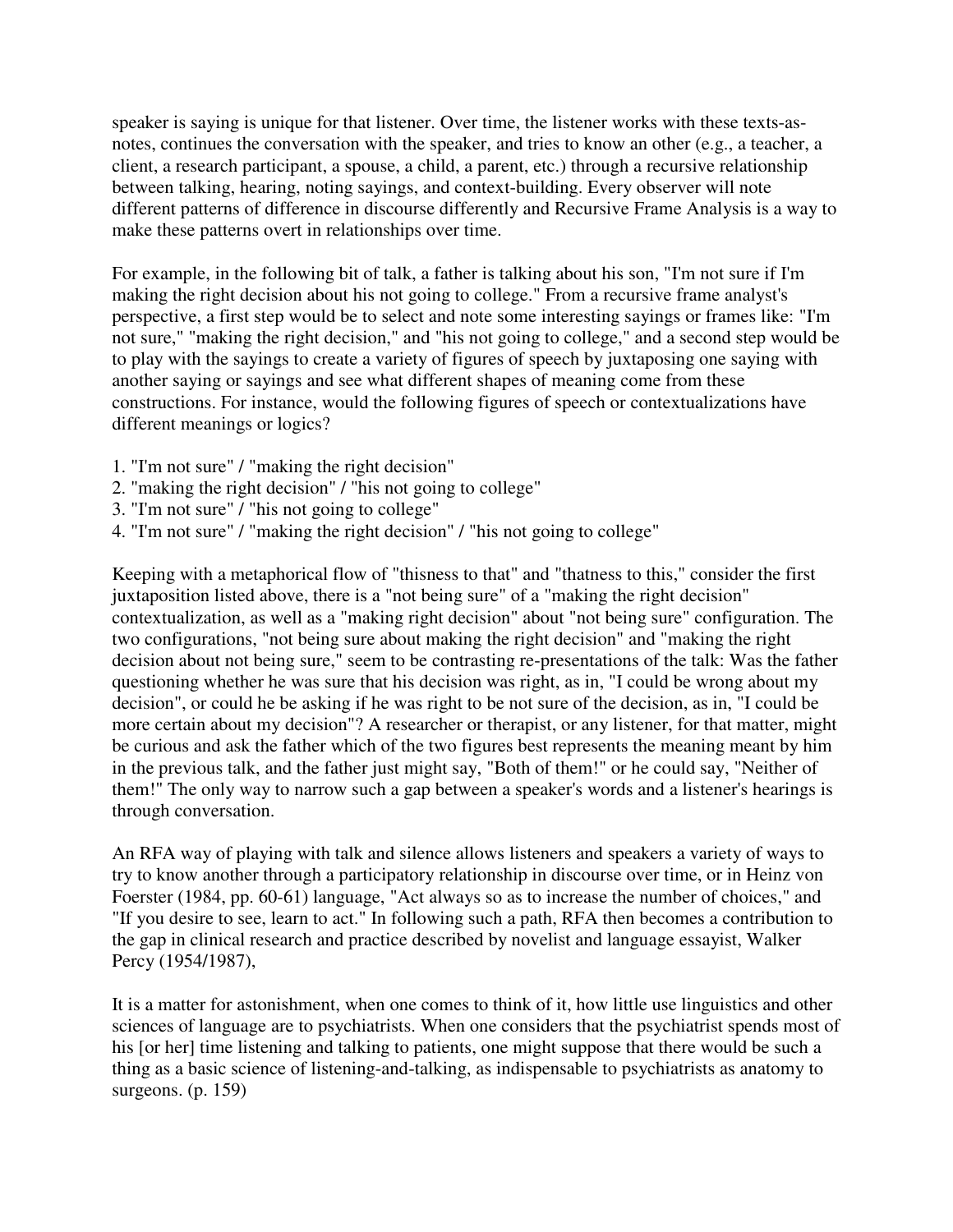speaker is saying is unique for that listener. Over time, the listener works with these texts-asnotes, continues the conversation with the speaker, and tries to know an other (e.g., a teacher, a client, a research participant, a spouse, a child, a parent, etc.) through a recursive relationship between talking, hearing, noting sayings, and context-building. Every observer will note different patterns of difference in discourse differently and Recursive Frame Analysis is a way to make these patterns overt in relationships over time.

For example, in the following bit of talk, a father is talking about his son, "I'm not sure if I'm making the right decision about his not going to college." From a recursive frame analyst's perspective, a first step would be to select and note some interesting sayings or frames like: "I'm not sure," "making the right decision," and "his not going to college," and a second step would be to play with the sayings to create a variety of figures of speech by juxtaposing one saying with another saying or sayings and see what different shapes of meaning come from these constructions. For instance, would the following figures of speech or contextualizations have different meanings or logics?

- 1. "I'm not sure" / "making the right decision"
- 2. "making the right decision" / "his not going to college"
- 3. "I'm not sure" / "his not going to college"
- 4. "I'm not sure" / "making the right decision" / "his not going to college"

Keeping with a metaphorical flow of "thisness to that" and "thatness to this," consider the first juxtaposition listed above, there is a "not being sure" of a "making the right decision" contextualization, as well as a "making right decision" about "not being sure" configuration. The two configurations, "not being sure about making the right decision" and "making the right decision about not being sure," seem to be contrasting re-presentations of the talk: Was the father questioning whether he was sure that his decision was right, as in, "I could be wrong about my decision", or could he be asking if he was right to be not sure of the decision, as in, "I could be more certain about my decision"? A researcher or therapist, or any listener, for that matter, might be curious and ask the father which of the two figures best represents the meaning meant by him in the previous talk, and the father just might say, "Both of them!" or he could say, "Neither of them!" The only way to narrow such a gap between a speaker's words and a listener's hearings is through conversation.

An RFA way of playing with talk and silence allows listeners and speakers a variety of ways to try to know another through a participatory relationship in discourse over time, or in Heinz von Foerster (1984, pp. 60-61) language, "Act always so as to increase the number of choices," and "If you desire to see, learn to act." In following such a path, RFA then becomes a contribution to the gap in clinical research and practice described by novelist and language essayist, Walker Percy (1954/1987),

It is a matter for astonishment, when one comes to think of it, how little use linguistics and other sciences of language are to psychiatrists. When one considers that the psychiatrist spends most of his [or her] time listening and talking to patients, one might suppose that there would be such a thing as a basic science of listening-and-talking, as indispensable to psychiatrists as anatomy to surgeons. (p. 159)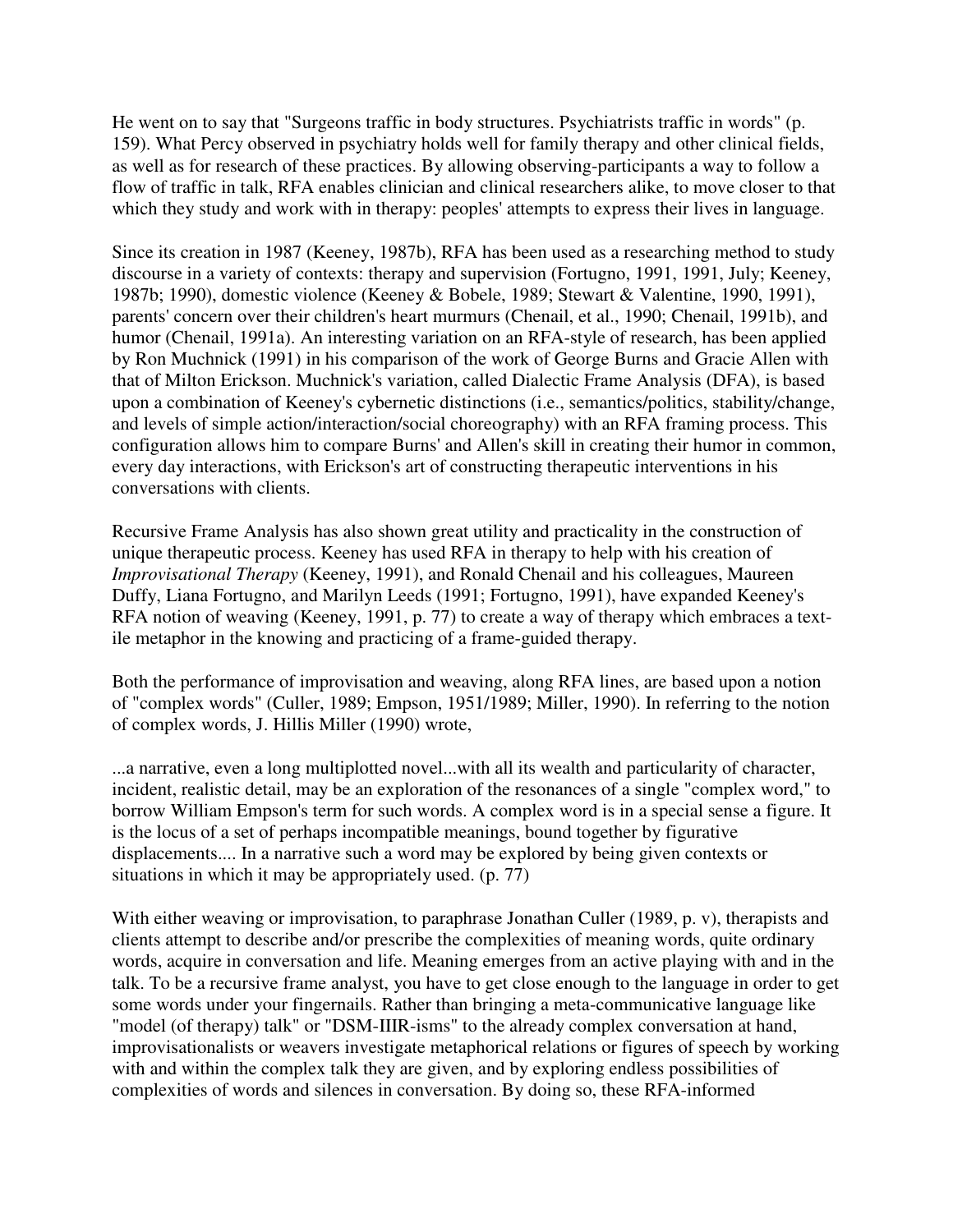He went on to say that "Surgeons traffic in body structures. Psychiatrists traffic in words" (p. 159). What Percy observed in psychiatry holds well for family therapy and other clinical fields, as well as for research of these practices. By allowing observing-participants a way to follow a flow of traffic in talk, RFA enables clinician and clinical researchers alike, to move closer to that which they study and work with in therapy: peoples' attempts to express their lives in language.

Since its creation in 1987 (Keeney, 1987b), RFA has been used as a researching method to study discourse in a variety of contexts: therapy and supervision (Fortugno, 1991, 1991, July; Keeney, 1987b; 1990), domestic violence (Keeney & Bobele, 1989; Stewart & Valentine, 1990, 1991), parents' concern over their children's heart murmurs (Chenail, et al., 1990; Chenail, 1991b), and humor (Chenail, 1991a). An interesting variation on an RFA-style of research, has been applied by Ron Muchnick (1991) in his comparison of the work of George Burns and Gracie Allen with that of Milton Erickson. Muchnick's variation, called Dialectic Frame Analysis (DFA), is based upon a combination of Keeney's cybernetic distinctions (i.e., semantics/politics, stability/change, and levels of simple action/interaction/social choreography) with an RFA framing process. This configuration allows him to compare Burns' and Allen's skill in creating their humor in common, every day interactions, with Erickson's art of constructing therapeutic interventions in his conversations with clients.

Recursive Frame Analysis has also shown great utility and practicality in the construction of unique therapeutic process. Keeney has used RFA in therapy to help with his creation of *Improvisational Therapy* (Keeney, 1991), and Ronald Chenail and his colleagues, Maureen Duffy, Liana Fortugno, and Marilyn Leeds (1991; Fortugno, 1991), have expanded Keeney's RFA notion of weaving (Keeney, 1991, p. 77) to create a way of therapy which embraces a textile metaphor in the knowing and practicing of a frame-guided therapy.

Both the performance of improvisation and weaving, along RFA lines, are based upon a notion of "complex words" (Culler, 1989; Empson, 1951/1989; Miller, 1990). In referring to the notion of complex words, J. Hillis Miller (1990) wrote,

...a narrative, even a long multiplotted novel...with all its wealth and particularity of character, incident, realistic detail, may be an exploration of the resonances of a single "complex word," to borrow William Empson's term for such words. A complex word is in a special sense a figure. It is the locus of a set of perhaps incompatible meanings, bound together by figurative displacements.... In a narrative such a word may be explored by being given contexts or situations in which it may be appropriately used. (p. 77)

With either weaving or improvisation, to paraphrase Jonathan Culler (1989, p. v), therapists and clients attempt to describe and/or prescribe the complexities of meaning words, quite ordinary words, acquire in conversation and life. Meaning emerges from an active playing with and in the talk. To be a recursive frame analyst, you have to get close enough to the language in order to get some words under your fingernails. Rather than bringing a meta-communicative language like "model (of therapy) talk" or "DSM-IIIR-isms" to the already complex conversation at hand, improvisationalists or weavers investigate metaphorical relations or figures of speech by working with and within the complex talk they are given, and by exploring endless possibilities of complexities of words and silences in conversation. By doing so, these RFA-informed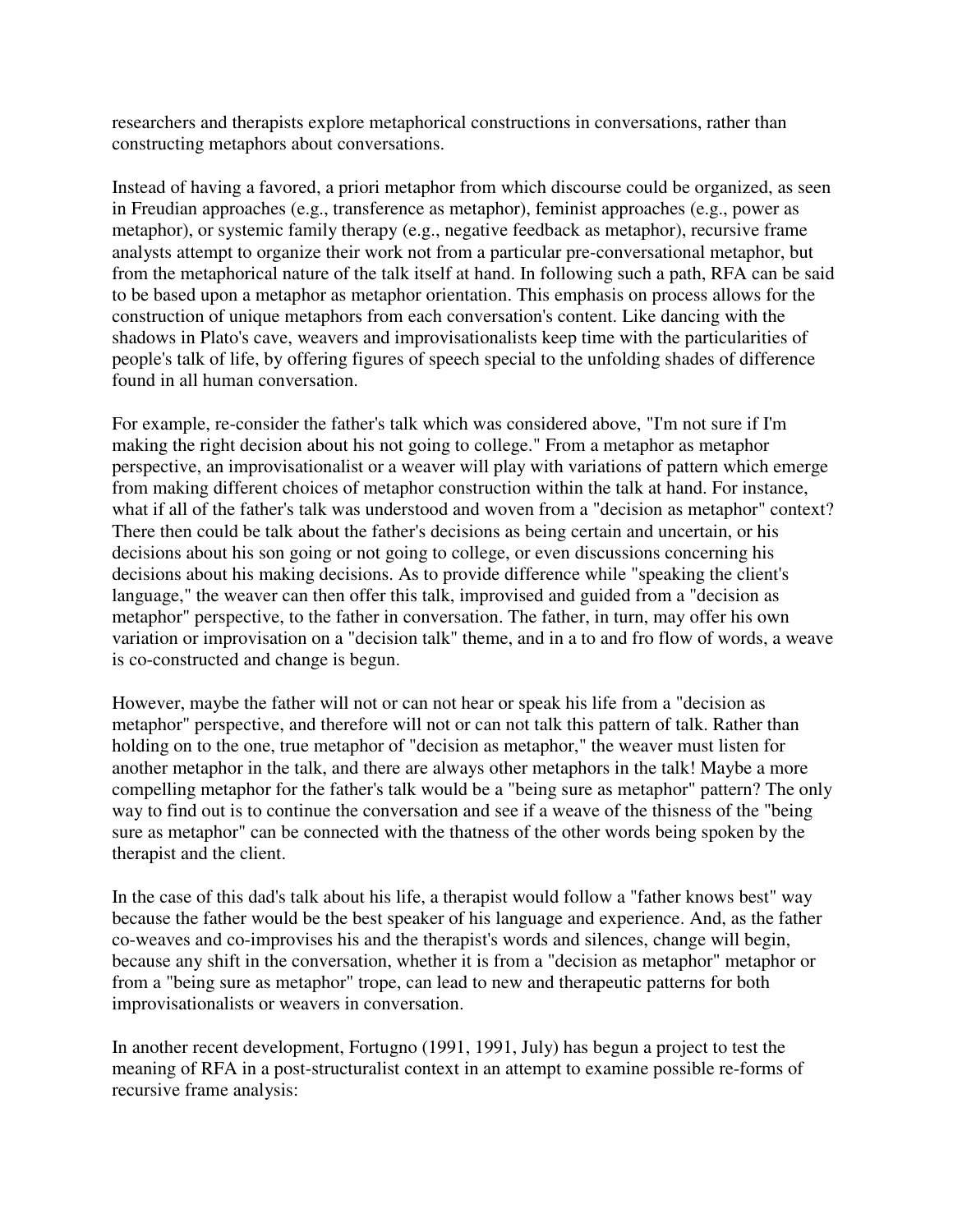researchers and therapists explore metaphorical constructions in conversations, rather than constructing metaphors about conversations.

Instead of having a favored, a priori metaphor from which discourse could be organized, as seen in Freudian approaches (e.g., transference as metaphor), feminist approaches (e.g., power as metaphor), or systemic family therapy (e.g., negative feedback as metaphor), recursive frame analysts attempt to organize their work not from a particular pre-conversational metaphor, but from the metaphorical nature of the talk itself at hand. In following such a path, RFA can be said to be based upon a metaphor as metaphor orientation. This emphasis on process allows for the construction of unique metaphors from each conversation's content. Like dancing with the shadows in Plato's cave, weavers and improvisationalists keep time with the particularities of people's talk of life, by offering figures of speech special to the unfolding shades of difference found in all human conversation.

For example, re-consider the father's talk which was considered above, "I'm not sure if I'm making the right decision about his not going to college." From a metaphor as metaphor perspective, an improvisationalist or a weaver will play with variations of pattern which emerge from making different choices of metaphor construction within the talk at hand. For instance, what if all of the father's talk was understood and woven from a "decision as metaphor" context? There then could be talk about the father's decisions as being certain and uncertain, or his decisions about his son going or not going to college, or even discussions concerning his decisions about his making decisions. As to provide difference while "speaking the client's language," the weaver can then offer this talk, improvised and guided from a "decision as metaphor" perspective, to the father in conversation. The father, in turn, may offer his own variation or improvisation on a "decision talk" theme, and in a to and fro flow of words, a weave is co-constructed and change is begun.

However, maybe the father will not or can not hear or speak his life from a "decision as metaphor" perspective, and therefore will not or can not talk this pattern of talk. Rather than holding on to the one, true metaphor of "decision as metaphor," the weaver must listen for another metaphor in the talk, and there are always other metaphors in the talk! Maybe a more compelling metaphor for the father's talk would be a "being sure as metaphor" pattern? The only way to find out is to continue the conversation and see if a weave of the thisness of the "being sure as metaphor" can be connected with the thatness of the other words being spoken by the therapist and the client.

In the case of this dad's talk about his life, a therapist would follow a "father knows best" way because the father would be the best speaker of his language and experience. And, as the father co-weaves and co-improvises his and the therapist's words and silences, change will begin, because any shift in the conversation, whether it is from a "decision as metaphor" metaphor or from a "being sure as metaphor" trope, can lead to new and therapeutic patterns for both improvisationalists or weavers in conversation.

In another recent development, Fortugno (1991, 1991, July) has begun a project to test the meaning of RFA in a post-structuralist context in an attempt to examine possible re-forms of recursive frame analysis: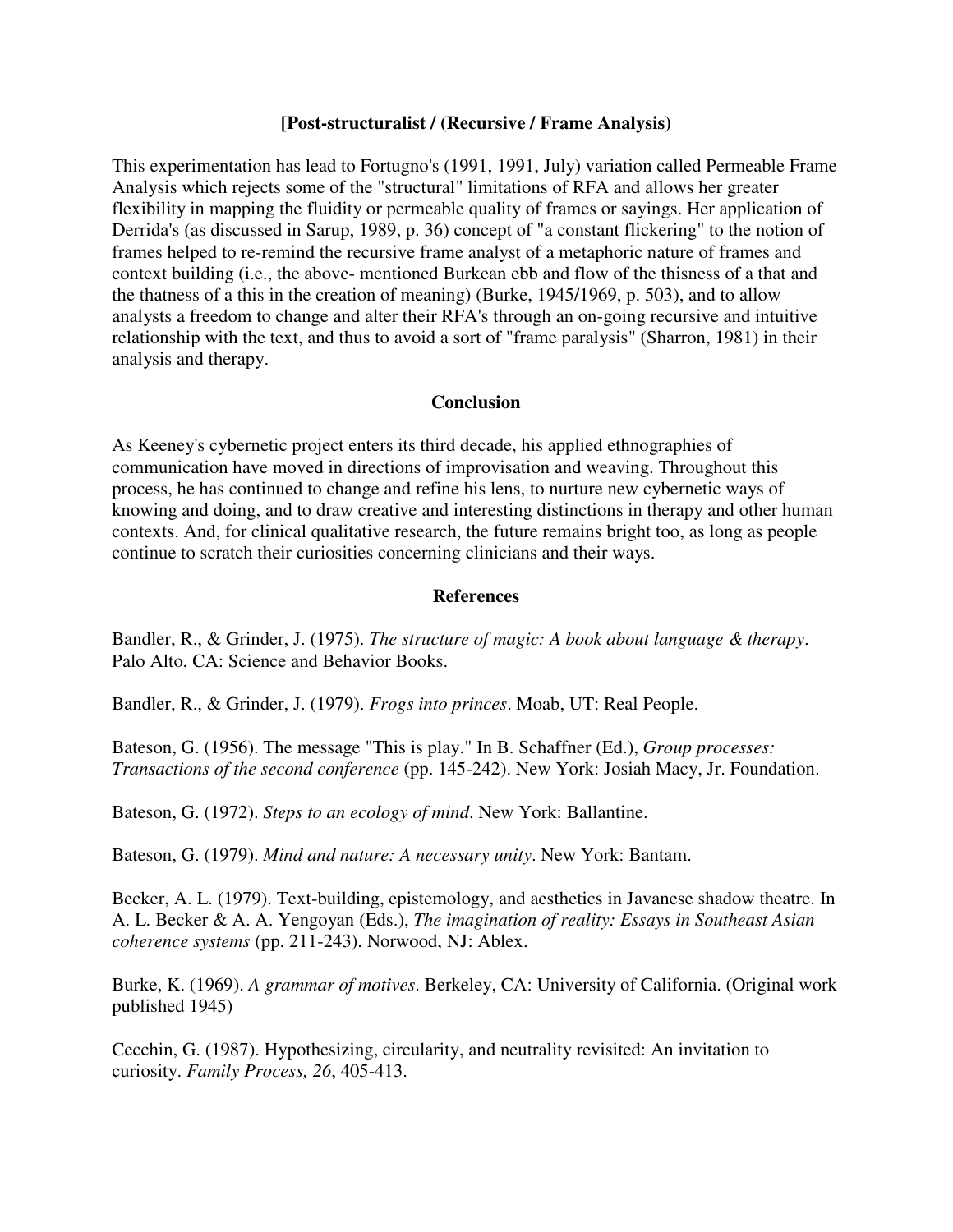#### **[Post-structuralist / (Recursive / Frame Analysis)**

This experimentation has lead to Fortugno's (1991, 1991, July) variation called Permeable Frame Analysis which rejects some of the "structural" limitations of RFA and allows her greater flexibility in mapping the fluidity or permeable quality of frames or sayings. Her application of Derrida's (as discussed in Sarup, 1989, p. 36) concept of "a constant flickering" to the notion of frames helped to re-remind the recursive frame analyst of a metaphoric nature of frames and context building (i.e., the above- mentioned Burkean ebb and flow of the thisness of a that and the thatness of a this in the creation of meaning) (Burke, 1945/1969, p. 503), and to allow analysts a freedom to change and alter their RFA's through an on-going recursive and intuitive relationship with the text, and thus to avoid a sort of "frame paralysis" (Sharron, 1981) in their analysis and therapy.

#### **Conclusion**

As Keeney's cybernetic project enters its third decade, his applied ethnographies of communication have moved in directions of improvisation and weaving. Throughout this process, he has continued to change and refine his lens, to nurture new cybernetic ways of knowing and doing, and to draw creative and interesting distinctions in therapy and other human contexts. And, for clinical qualitative research, the future remains bright too, as long as people continue to scratch their curiosities concerning clinicians and their ways.

#### **References**

Bandler, R., & Grinder, J. (1975). *The structure of magic: A book about language & therapy*. Palo Alto, CA: Science and Behavior Books.

Bandler, R., & Grinder, J. (1979). *Frogs into princes*. Moab, UT: Real People.

Bateson, G. (1956). The message "This is play." In B. Schaffner (Ed.), *Group processes: Transactions of the second conference* (pp. 145-242). New York: Josiah Macy, Jr. Foundation.

Bateson, G. (1972). *Steps to an ecology of mind*. New York: Ballantine.

Bateson, G. (1979). *Mind and nature: A necessary unity*. New York: Bantam.

Becker, A. L. (1979). Text-building, epistemology, and aesthetics in Javanese shadow theatre. In A. L. Becker & A. A. Yengoyan (Eds.), *The imagination of reality: Essays in Southeast Asian coherence systems* (pp. 211-243). Norwood, NJ: Ablex.

Burke, K. (1969). *A grammar of motives*. Berkeley, CA: University of California. (Original work published 1945)

Cecchin, G. (1987). Hypothesizing, circularity, and neutrality revisited: An invitation to curiosity. *Family Process, 26*, 405-413.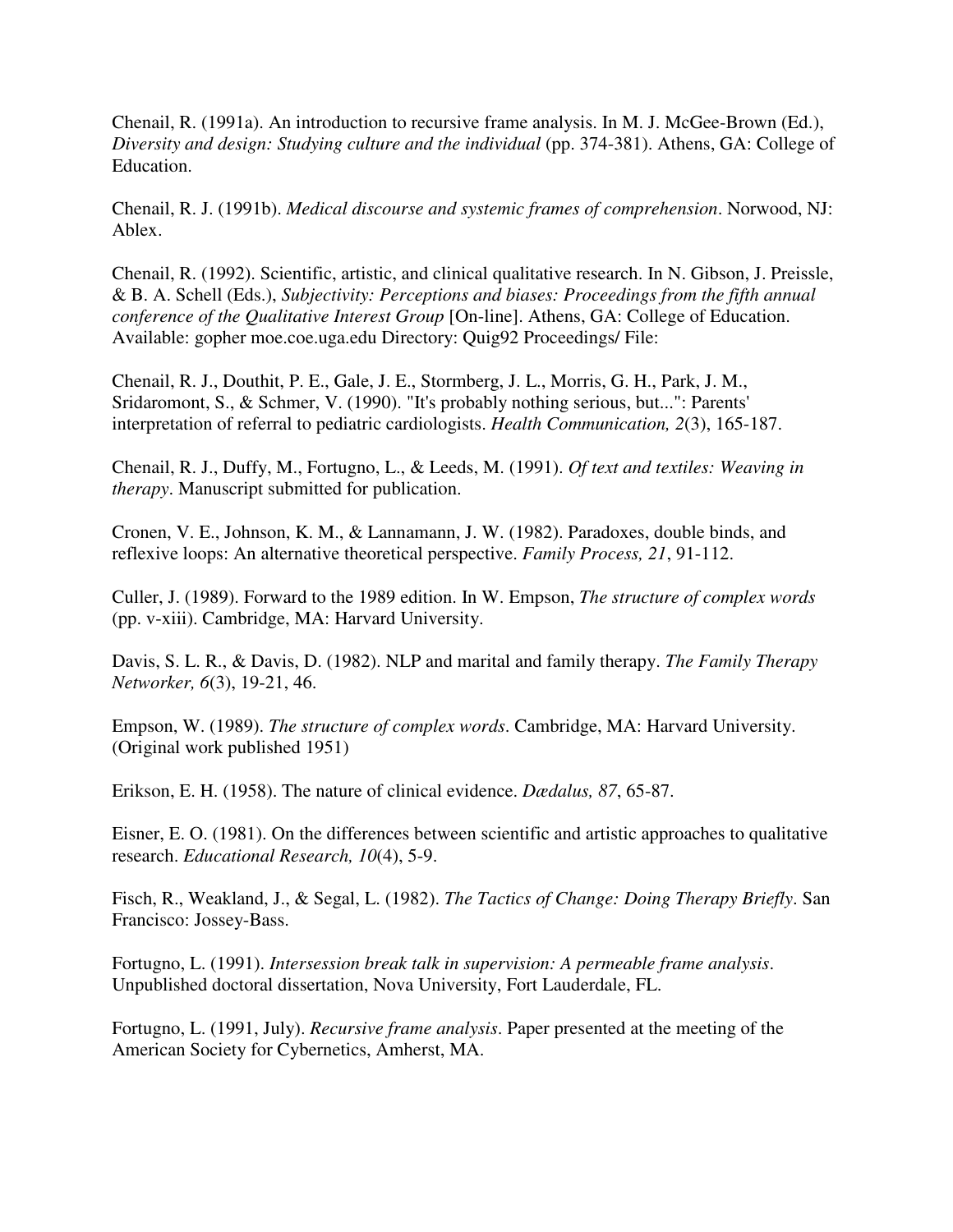Chenail, R. (1991a). An introduction to recursive frame analysis. In M. J. McGee-Brown (Ed.), *Diversity and design: Studying culture and the individual* (pp. 374-381). Athens, GA: College of Education.

Chenail, R. J. (1991b). *Medical discourse and systemic frames of comprehension*. Norwood, NJ: Ablex.

Chenail, R. (1992). Scientific, artistic, and clinical qualitative research. In N. Gibson, J. Preissle, & B. A. Schell (Eds.), *Subjectivity: Perceptions and biases: Proceedings from the fifth annual conference of the Qualitative Interest Group* [On-line]. Athens, GA: College of Education. Available: gopher moe.coe.uga.edu Directory: Quig92 Proceedings/ File:

Chenail, R. J., Douthit, P. E., Gale, J. E., Stormberg, J. L., Morris, G. H., Park, J. M., Sridaromont, S., & Schmer, V. (1990). "It's probably nothing serious, but...": Parents' interpretation of referral to pediatric cardiologists. *Health Communication, 2*(3), 165-187.

Chenail, R. J., Duffy, M., Fortugno, L., & Leeds, M. (1991). *Of text and textiles: Weaving in therapy*. Manuscript submitted for publication.

Cronen, V. E., Johnson, K. M., & Lannamann, J. W. (1982). Paradoxes, double binds, and reflexive loops: An alternative theoretical perspective. *Family Process, 21*, 91-112.

Culler, J. (1989). Forward to the 1989 edition. In W. Empson, *The structure of complex words* (pp. v-xiii). Cambridge, MA: Harvard University.

Davis, S. L. R., & Davis, D. (1982). NLP and marital and family therapy. *The Family Therapy Networker, 6*(3), 19-21, 46.

Empson, W. (1989). *The structure of complex words*. Cambridge, MA: Harvard University. (Original work published 1951)

Erikson, E. H. (1958). The nature of clinical evidence. *Dædalus, 87*, 65-87.

Eisner, E. O. (1981). On the differences between scientific and artistic approaches to qualitative research. *Educational Research, 10*(4), 5-9.

Fisch, R., Weakland, J., & Segal, L. (1982). *The Tactics of Change: Doing Therapy Briefly*. San Francisco: Jossey-Bass.

Fortugno, L. (1991). *Intersession break talk in supervision: A permeable frame analysis*. Unpublished doctoral dissertation, Nova University, Fort Lauderdale, FL.

Fortugno, L. (1991, July). *Recursive frame analysis*. Paper presented at the meeting of the American Society for Cybernetics, Amherst, MA.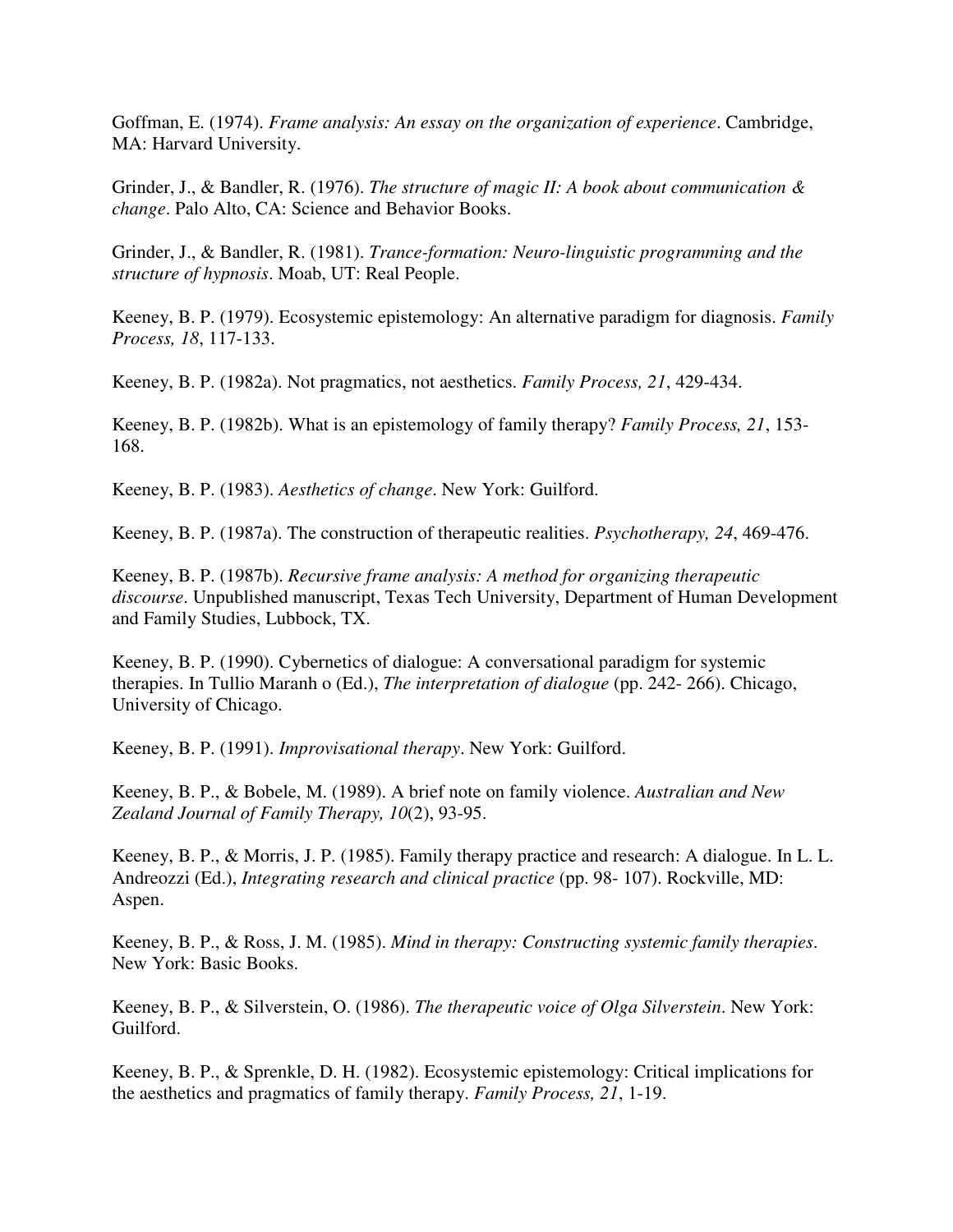Goffman, E. (1974). *Frame analysis: An essay on the organization of experience*. Cambridge, MA: Harvard University.

Grinder, J., & Bandler, R. (1976). *The structure of magic II: A book about communication & change*. Palo Alto, CA: Science and Behavior Books.

Grinder, J., & Bandler, R. (1981). *Trance-formation: Neuro-linguistic programming and the structure of hypnosis*. Moab, UT: Real People.

Keeney, B. P. (1979). Ecosystemic epistemology: An alternative paradigm for diagnosis. *Family Process, 18*, 117-133.

Keeney, B. P. (1982a). Not pragmatics, not aesthetics. *Family Process, 21*, 429-434.

Keeney, B. P. (1982b). What is an epistemology of family therapy? *Family Process, 21*, 153- 168.

Keeney, B. P. (1983). *Aesthetics of change*. New York: Guilford.

Keeney, B. P. (1987a). The construction of therapeutic realities. *Psychotherapy, 24*, 469-476.

Keeney, B. P. (1987b). *Recursive frame analysis: A method for organizing therapeutic discourse*. Unpublished manuscript, Texas Tech University, Department of Human Development and Family Studies, Lubbock, TX.

Keeney, B. P. (1990). Cybernetics of dialogue: A conversational paradigm for systemic therapies. In Tullio Maranh o (Ed.), *The interpretation of dialogue* (pp. 242- 266). Chicago, University of Chicago.

Keeney, B. P. (1991). *Improvisational therapy*. New York: Guilford.

Keeney, B. P., & Bobele, M. (1989). A brief note on family violence. *Australian and New Zealand Journal of Family Therapy, 10*(2), 93-95.

Keeney, B. P., & Morris, J. P. (1985). Family therapy practice and research: A dialogue. In L. L. Andreozzi (Ed.), *Integrating research and clinical practice* (pp. 98- 107). Rockville, MD: Aspen.

Keeney, B. P., & Ross, J. M. (1985). *Mind in therapy: Constructing systemic family therapies*. New York: Basic Books.

Keeney, B. P., & Silverstein, O. (1986). *The therapeutic voice of Olga Silverstein*. New York: Guilford.

Keeney, B. P., & Sprenkle, D. H. (1982). Ecosystemic epistemology: Critical implications for the aesthetics and pragmatics of family therapy. *Family Process, 21*, 1-19.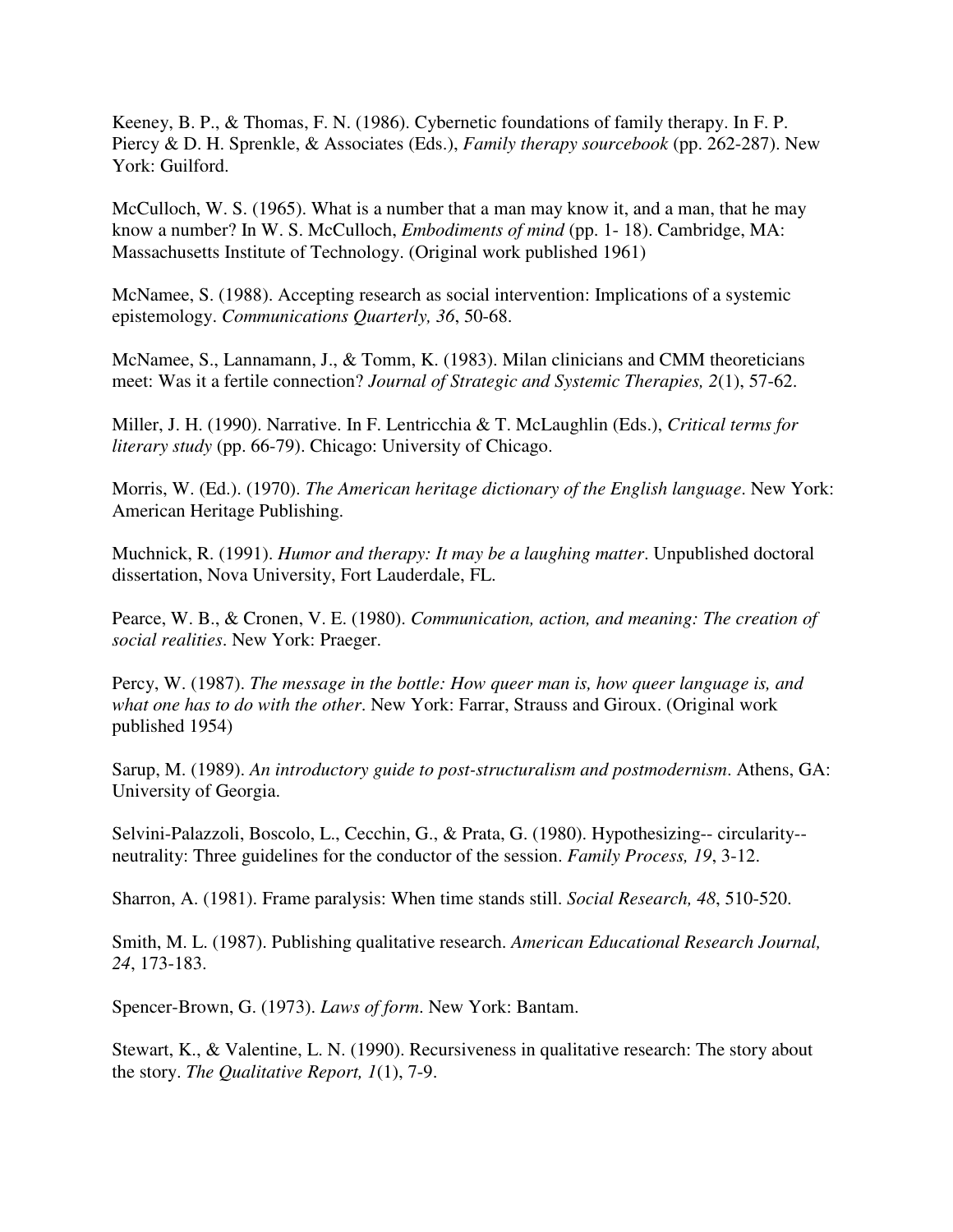Keeney, B. P., & Thomas, F. N. (1986). Cybernetic foundations of family therapy. In F. P. Piercy & D. H. Sprenkle, & Associates (Eds.), *Family therapy sourcebook* (pp. 262-287). New York: Guilford.

McCulloch, W. S. (1965). What is a number that a man may know it, and a man, that he may know a number? In W. S. McCulloch, *Embodiments of mind* (pp. 1- 18). Cambridge, MA: Massachusetts Institute of Technology. (Original work published 1961)

McNamee, S. (1988). Accepting research as social intervention: Implications of a systemic epistemology. *Communications Quarterly, 36*, 50-68.

McNamee, S., Lannamann, J., & Tomm, K. (1983). Milan clinicians and CMM theoreticians meet: Was it a fertile connection? *Journal of Strategic and Systemic Therapies, 2*(1), 57-62.

Miller, J. H. (1990). Narrative. In F. Lentricchia & T. McLaughlin (Eds.), *Critical terms for literary study* (pp. 66-79). Chicago: University of Chicago.

Morris, W. (Ed.). (1970). *The American heritage dictionary of the English language*. New York: American Heritage Publishing.

Muchnick, R. (1991). *Humor and therapy: It may be a laughing matter*. Unpublished doctoral dissertation, Nova University, Fort Lauderdale, FL.

Pearce, W. B., & Cronen, V. E. (1980). *Communication, action, and meaning: The creation of social realities*. New York: Praeger.

Percy, W. (1987). *The message in the bottle: How queer man is, how queer language is, and what one has to do with the other*. New York: Farrar, Strauss and Giroux. (Original work published 1954)

Sarup, M. (1989). *An introductory guide to post-structuralism and postmodernism*. Athens, GA: University of Georgia.

Selvini-Palazzoli, Boscolo, L., Cecchin, G., & Prata, G. (1980). Hypothesizing-- circularity- neutrality: Three guidelines for the conductor of the session. *Family Process, 19*, 3-12.

Sharron, A. (1981). Frame paralysis: When time stands still. *Social Research, 48*, 510-520.

Smith, M. L. (1987). Publishing qualitative research. *American Educational Research Journal, 24*, 173-183.

Spencer-Brown, G. (1973). *Laws of form*. New York: Bantam.

Stewart, K., & Valentine, L. N. (1990). Recursiveness in qualitative research: The story about the story. *The Qualitative Report, 1*(1), 7-9.